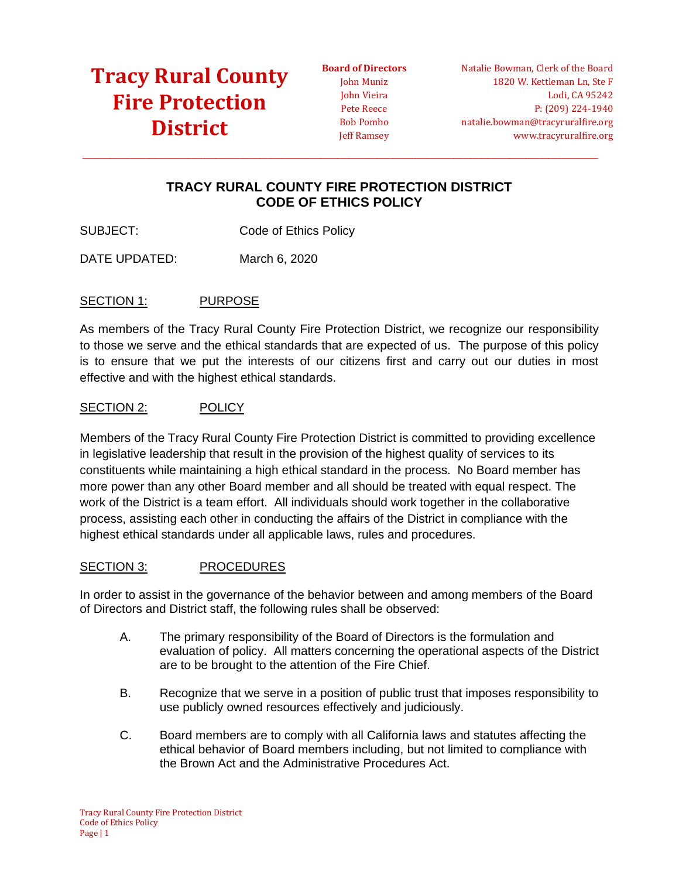### **[Tracy Rural County](https://tracyruralfire.org/)  [Fire Protection](https://tracyruralfire.org/)  [District](https://tracyruralfire.org/)**

**Board of Directors** John Muniz John Vieira Pete Reece Bob Pombo Jeff Ramsey

Natalie Bowman, Clerk of the Board 1820 W. Kettleman Ln, Ste F Lodi, CA 95242 P: (209) 224-1940 natalie.bowman@tracyruralfire.org www.tracyruralfire.org

### **TRACY RURAL COUNTY FIRE PROTECTION DISTRICT CODE OF ETHICS POLICY**

 $\_$  ,  $\_$  ,  $\_$  ,  $\_$  ,  $\_$  ,  $\_$  ,  $\_$  ,  $\_$  ,  $\_$  ,  $\_$  ,  $\_$  ,  $\_$  ,  $\_$  ,  $\_$  ,  $\_$  ,  $\_$  ,  $\_$  ,  $\_$  ,  $\_$  ,  $\_$  ,  $\_$  ,  $\_$  ,  $\_$  ,  $\_$  ,  $\_$  ,  $\_$  ,  $\_$  ,  $\_$  ,  $\_$  ,  $\_$  ,  $\_$  ,  $\_$  ,  $\_$  ,  $\_$  ,  $\_$  ,  $\_$  ,  $\_$  ,

SUBJECT: Code of Ethics Policy

DATE UPDATED: March 6, 2020

### SECTION 1: PURPOSE

As members of the Tracy Rural County Fire Protection District, we recognize our responsibility to those we serve and the ethical standards that are expected of us. The purpose of this policy is to ensure that we put the interests of our citizens first and carry out our duties in most effective and with the highest ethical standards.

### SECTION 2: POLICY

Members of the Tracy Rural County Fire Protection District is committed to providing excellence in legislative leadership that result in the provision of the highest quality of services to its constituents while maintaining a high ethical standard in the process. No Board member has more power than any other Board member and all should be treated with equal respect. The work of the District is a team effort. All individuals should work together in the collaborative process, assisting each other in conducting the affairs of the District in compliance with the highest ethical standards under all applicable laws, rules and procedures.

#### SECTION 3: PROCEDURES

In order to assist in the governance of the behavior between and among members of the Board of Directors and District staff, the following rules shall be observed:

- A. The primary responsibility of the Board of Directors is the formulation and evaluation of policy. All matters concerning the operational aspects of the District are to be brought to the attention of the Fire Chief.
- B. Recognize that we serve in a position of public trust that imposes responsibility to use publicly owned resources effectively and judiciously.
- C. Board members are to comply with all California laws and statutes affecting the ethical behavior of Board members including, but not limited to compliance with the Brown Act and the Administrative Procedures Act.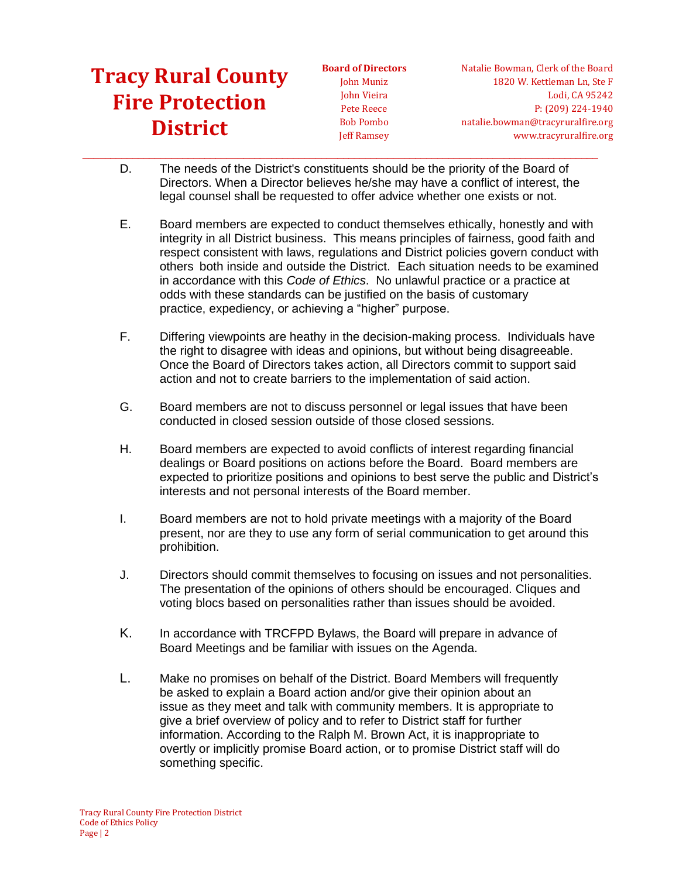# **[Tracy Rural County](https://tracyruralfire.org/)  [Fire Protection](https://tracyruralfire.org/)  [District](https://tracyruralfire.org/)**

**Board of Directors** John Muniz John Vieira Pete Reece Bob Pombo Jeff Ramsey

Natalie Bowman, Clerk of the Board 1820 W. Kettleman Ln, Ste F Lodi, CA 95242 P: (209) 224-1940 natalie.bowman@tracyruralfire.org www.tracyruralfire.org

D. The needs of the District's constituents should be the priority of the Board of Directors. When a Director believes he/she may have a conflict of interest, the legal counsel shall be requested to offer advice whether one exists or not.

 $\_$  ,  $\_$  ,  $\_$  ,  $\_$  ,  $\_$  ,  $\_$  ,  $\_$  ,  $\_$  ,  $\_$  ,  $\_$  ,  $\_$  ,  $\_$  ,  $\_$  ,  $\_$  ,  $\_$  ,  $\_$  ,  $\_$  ,  $\_$  ,  $\_$  ,  $\_$  ,  $\_$  ,  $\_$  ,  $\_$  ,  $\_$  ,  $\_$  ,  $\_$  ,  $\_$  ,  $\_$  ,  $\_$  ,  $\_$  ,  $\_$  ,  $\_$  ,  $\_$  ,  $\_$  ,  $\_$  ,  $\_$  ,  $\_$  ,

- E. Board members are expected to conduct themselves ethically, honestly and with integrity in all District business. This means principles of fairness, good faith and respect consistent with laws, regulations and District policies govern conduct with others both inside and outside the District. Each situation needs to be examined in accordance with this *Code of Ethics*. No unlawful practice or a practice at odds with these standards can be justified on the basis of customary practice, expediency, or achieving a "higher" purpose.
- F. Differing viewpoints are heathy in the decision-making process. Individuals have the right to disagree with ideas and opinions, but without being disagreeable. Once the Board of Directors takes action, all Directors commit to support said action and not to create barriers to the implementation of said action.
- G. Board members are not to discuss personnel or legal issues that have been conducted in closed session outside of those closed sessions.
- H. Board members are expected to avoid conflicts of interest regarding financial dealings or Board positions on actions before the Board. Board members are expected to prioritize positions and opinions to best serve the public and District's interests and not personal interests of the Board member.
- I. Board members are not to hold private meetings with a majority of the Board present, nor are they to use any form of serial communication to get around this prohibition.
- J. Directors should commit themselves to focusing on issues and not personalities. The presentation of the opinions of others should be encouraged. Cliques and voting blocs based on personalities rather than issues should be avoided.
- K. In accordance with TRCFPD Bylaws, the Board will prepare in advance of Board Meetings and be familiar with issues on the Agenda.
- L. Make no promises on behalf of the District. Board Members will frequently be asked to explain a Board action and/or give their opinion about an issue as they meet and talk with community members. It is appropriate to give a brief overview of policy and to refer to District staff for further information. According to the Ralph M. Brown Act, it is inappropriate to overtly or implicitly promise Board action, or to promise District staff will do something specific.